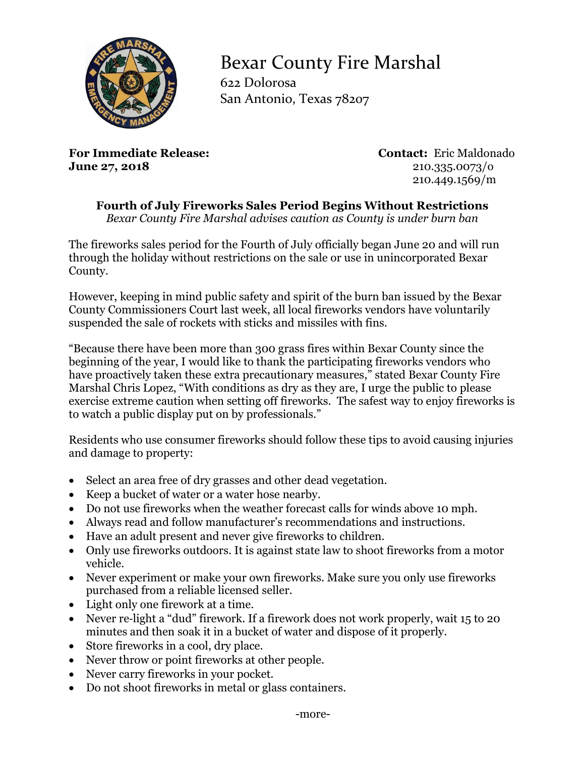

## Bexar County Fire Marshal

622 Dolorosa San Antonio, Texas 78207

**For Immediate Release: Contact:** Eric Maldonado **June 27, 2018** 210.335.0073/0

210.449.1569/m

**Fourth of July Fireworks Sales Period Begins Without Restrictions**

*Bexar County Fire Marshal advises caution as County is under burn ban* 

The fireworks sales period for the Fourth of July officially began June 20 and will run through the holiday without restrictions on the sale or use in unincorporated Bexar County.

However, keeping in mind public safety and spirit of the burn ban issued by the Bexar County Commissioners Court last week, all local fireworks vendors have voluntarily suspended the sale of rockets with sticks and missiles with fins.

"Because there have been more than 300 grass fires within Bexar County since the beginning of the year, I would like to thank the participating fireworks vendors who have proactively taken these extra precautionary measures," stated Bexar County Fire Marshal Chris Lopez, "With conditions as dry as they are, I urge the public to please exercise extreme caution when setting off fireworks. The safest way to enjoy fireworks is to watch a public display put on by professionals."

Residents who use consumer fireworks should follow these tips to avoid causing injuries and damage to property:

- Select an area free of dry grasses and other dead vegetation.
- Keep a bucket of water or a water hose nearby.
- Do not use fireworks when the weather forecast calls for winds above 10 mph.
- Always read and follow manufacturer's recommendations and instructions.
- Have an adult present and never give fireworks to children.
- Only use fireworks outdoors. It is against state law to shoot fireworks from a motor vehicle.
- Never experiment or make your own fireworks. Make sure you only use fireworks purchased from a reliable licensed seller.
- Light only one firework at a time.
- Never re-light a "dud" firework. If a firework does not work properly, wait 15 to 20 minutes and then soak it in a bucket of water and dispose of it properly.
- Store fireworks in a cool, dry place.
- Never throw or point fireworks at other people.
- Never carry fireworks in your pocket.
- Do not shoot fireworks in metal or glass containers.